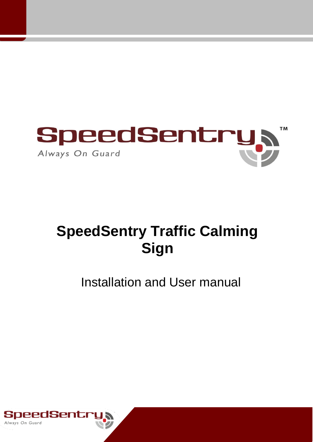

# **SpeedSentry Traffic Calming Sign**

## Installation and User manual

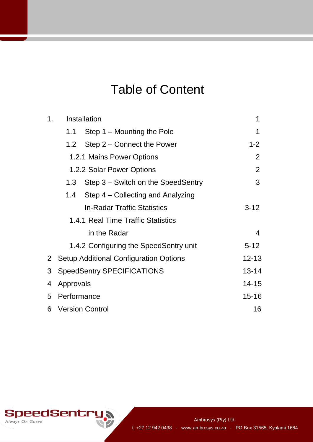## Table of Content

| 1 <sub>1</sub> | Installation                             |                                        | 1         |
|----------------|------------------------------------------|----------------------------------------|-----------|
|                | 1.1                                      | Step 1 – Mounting the Pole             | 1         |
|                |                                          | 1.2 Step 2 – Connect the Power         | $1 - 2$   |
|                | 1.2.1 Mains Power Options                | $\overline{2}$                         |           |
|                | 1.2.2 Solar Power Options                | $\overline{2}$                         |           |
|                | 1.3                                      | Step 3 – Switch on the SpeedSentry     | 3         |
|                | 1.4                                      | Step 4 – Collecting and Analyzing      |           |
|                |                                          | <b>In-Radar Traffic Statistics</b>     | $3 - 12$  |
|                | 1.4.1 Real Time Traffic Statistics       |                                        |           |
|                |                                          | $\overline{4}$                         |           |
|                |                                          | 1.4.2 Configuring the SpeedSentry unit | $5 - 12$  |
|                | 2 Setup Additional Configuration Options |                                        | $12 - 13$ |
| 3              | <b>SpeedSentry SPECIFICATIONS</b>        | $13 - 14$                              |           |
| 4              | Approvals                                |                                        | $14 - 15$ |
| 5              | Performance                              |                                        | $15 - 16$ |
|                | 6 Version Control                        | 16                                     |           |

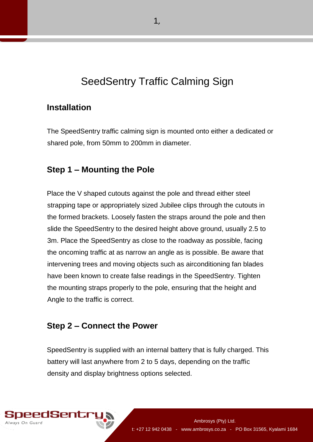## SeedSentry Traffic Calming Sign

#### **Installation**

The SpeedSentry traffic calming sign is mounted onto either a dedicated or shared pole, from 50mm to 200mm in diameter.

#### **Step 1 – Mounting the Pole**

Place the V shaped cutouts against the pole and thread either steel strapping tape or appropriately sized Jubilee clips through the cutouts in the formed brackets. Loosely fasten the straps around the pole and then slide the SpeedSentry to the desired height above ground, usually 2.5 to 3m. Place the SpeedSentry as close to the roadway as possible, facing the oncoming traffic at as narrow an angle as is possible. Be aware that intervening trees and moving objects such as airconditioning fan blades have been known to create false readings in the SpeedSentry. Tighten the mounting straps properly to the pole, ensuring that the height and Angle to the traffic is correct.

#### **Step 2 – Connect the Power**

SpeedSentry is supplied with an internal battery that is fully charged. This battery will last anywhere from 2 to 5 days, depending on the traffic density and display brightness options selected.

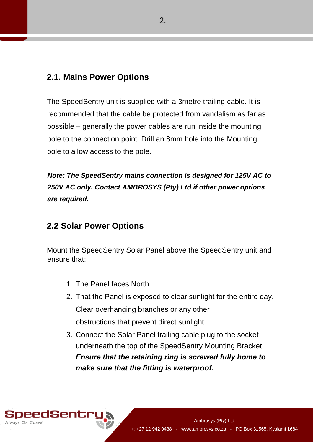#### **2.1. Mains Power Options**

The SpeedSentry unit is supplied with a 3metre trailing cable. It is recommended that the cable be protected from vandalism as far as possible – generally the power cables are run inside the mounting pole to the connection point. Drill an 8mm hole into the Mounting pole to allow access to the pole.

*Note: The SpeedSentry mains connection is designed for 125V AC to 250V AC only. Contact AMBROSYS (Pty) Ltd if other power options are required.* 

#### **2.2 Solar Power Options**

Mount the SpeedSentry Solar Panel above the SpeedSentry unit and ensure that:

- 1. The Panel faces North
- 2. That the Panel is exposed to clear sunlight for the entire day. Clear overhanging branches or any other obstructions that prevent direct sunlight
- 3. Connect the Solar Panel trailing cable plug to the socket underneath the top of the SpeedSentry Mounting Bracket. *Ensure that the retaining ring is screwed fully home to make sure that the fitting is waterproof.*

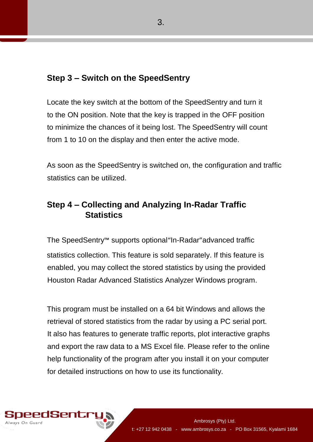#### **Step 3 – Switch on the SpeedSentry**

Locate the key switch at the bottom of the SpeedSentry and turn it to the ON position. Note that the key is trapped in the OFF position to minimize the chances of it being lost. The SpeedSentry will count from 1 to 10 on the display and then enter the active mode.

As soon as the SpeedSentry is switched on, the configuration and traffic statistics can be utilized.

## **Step 4 – Collecting and Analyzing In-Radar Traffic Statistics**

The SpeedSentry™ supports optional"In-Radar"advanced traffic statistics collection. This feature is sold separately. If this feature is enabled, you may collect the stored statistics by using the provided Houston Radar Advanced Statistics Analyzer Windows program.

This program must be installed on a 64 bit Windows and allows the retrieval of stored statistics from the radar by using a PC serial port. It also has features to generate traffic reports, plot interactive graphs and export the raw data to a MS Excel file. Please refer to the online help functionality of the program after you install it on your computer for detailed instructions on how to use its functionality.

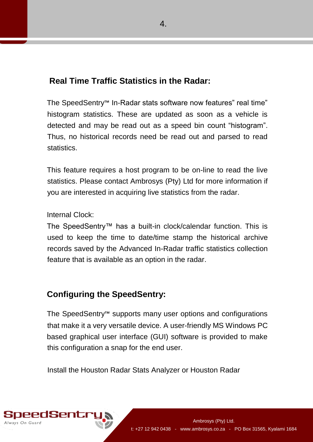### **Real Time Traffic Statistics in the Radar:**

The SpeedSentry™ In-Radar stats software now features" real time" histogram statistics. These are updated as soon as a vehicle is detected and may be read out as a speed bin count "histogram". Thus, no historical records need be read out and parsed to read statistics.

This feature requires a host program to be on-line to read the live statistics. Please contact Ambrosys (Pty) Ltd for more information if you are interested in acquiring live statistics from the radar.

Internal Clock:

The SpeedSentry™ has a built-in clock/calendar function. This is used to keep the time to date/time stamp the historical archive records saved by the Advanced In-Radar traffic statistics collection feature that is available as an option in the radar.

## **Configuring the SpeedSentry:**

The SpeedSentry™ supports many user options and configurations that make it a very versatile device. A user-friendly MS Windows PC based graphical user interface (GUI) software is provided to make this configuration a snap for the end user.

Install the Houston Radar Stats Analyzer or Houston Radar

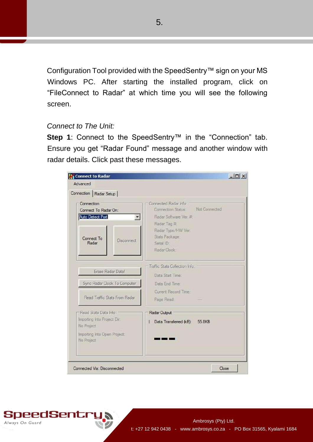Configuration Tool provided with the SpeedSentry™ sign on your MS Windows PC. After starting the installed program, click on "FileConnect to Radar" at which time you will see the following screen.

#### *Connect to The Unit:*

**Step 1**: Connect to the SpeedSentry™ in the "Connection" tab. Ensure you get "Radar Found" message and another window with radar details. Click past these messages.

| Connected Radar Inform<br>Not Connected<br>Connection Status:<br>Radar Software Ver. #:<br>Radar Tag #<br>Radar Type/HW Ver:<br>Stats Package:<br>Serial ID:<br>Radar Clock: |  |
|------------------------------------------------------------------------------------------------------------------------------------------------------------------------------|--|
| Traffic Stats Collection Info:<br>Data Start Time:<br>Data End Time:                                                                                                         |  |
| Current Record Time:<br>Page Read:                                                                                                                                           |  |
| Radar Output<br>Data Transferred (kB):<br>55.8KB                                                                                                                             |  |
|                                                                                                                                                                              |  |

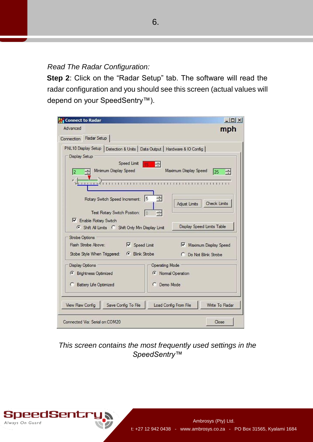*Read The Radar Configuration:* 

**Step 2**: Click on the "Radar Setup" tab. The software will read the radar configuration and you should see this screen (actual values will depend on your SpeedSentry™).



*This screen contains the most frequently used settings in the SpeedSentry™*



6.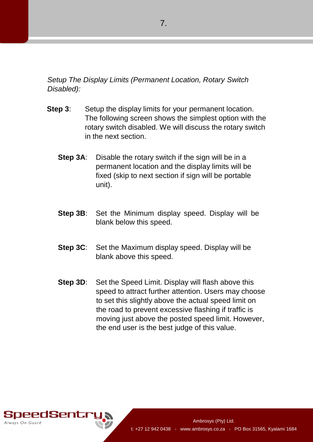*Setup The Display Limits (Permanent Location, Rotary Switch Disabled):* 

- **Step 3:** Setup the display limits for your permanent location. The following screen shows the simplest option with the rotary switch disabled. We will discuss the rotary switch in the next section.
	- **Step 3A:** Disable the rotary switch if the sign will be in a permanent location and the display limits will be fixed (skip to next section if sign will be portable unit).
	- **Step 3B**: Set the Minimum display speed. Display will be blank below this speed.
	- **Step 3C**: Set the Maximum display speed. Display will be blank above this speed.
	- **Step 3D:** Set the Speed Limit. Display will flash above this speed to attract further attention. Users may choose to set this slightly above the actual speed limit on the road to prevent excessive flashing if traffic is moving just above the posted speed limit. However, the end user is the best judge of this value.

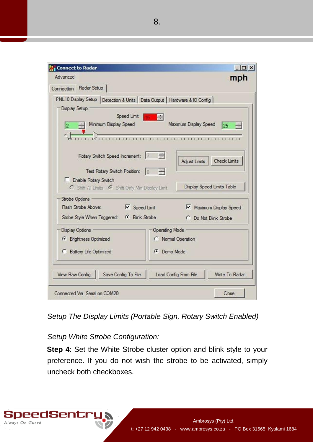| <b>Connect to Radar</b>                                                                                                                                                                                                                        | $ \Box$ $\times$                                                                                                                                |
|------------------------------------------------------------------------------------------------------------------------------------------------------------------------------------------------------------------------------------------------|-------------------------------------------------------------------------------------------------------------------------------------------------|
| Advanced<br>Connection Radar Setup                                                                                                                                                                                                             | mph                                                                                                                                             |
| PNL10 Display Setup   Detection & Units   Data Output   Hardware & IO Config  <br><b>Display Setup</b><br>Speed Limit<br>Minimum Display Speed<br>12<br>Rotary Switch Speed Increment:<br>Test Rotary Switch Position:<br>Enable Rotary Switch | E<br>Maximum Display Speed<br>25<br>$\rightarrow$<br><b>Check Limits</b><br>Adjust Limits<br>$\mathbf{10}$<br><b>Display Speed Limits Table</b> |
| C Shift All Limits G Shift Only Min Display Limit<br><b>Strobe Options</b><br>Flash Strobe Above:<br>$\triangledown$ Speed Limit<br>Stobe Style When Triggered: G Blink Strobe                                                                 | Maximum Display Speed<br>C Do Not Blink Strobe                                                                                                  |
| <b>Display Options</b><br><b>6</b> Brightness Optimized<br><b>C</b> Battery Life Optimized                                                                                                                                                     | <b>Operating Mode</b><br>C Normal Operation<br><b>C</b> Demo Mode                                                                               |
| <b>View Raw Config</b><br>Save Config To File<br>Connected Via: Serial on:COM20                                                                                                                                                                | Write To Radar<br>Load Config From File<br>Close                                                                                                |

*Setup The Display Limits (Portable Sign, Rotary Switch Enabled)*

#### *Setup White Strobe Configuration:*

**Step 4: Set the White Strobe cluster option and blink style to your** preference. If you do not wish the strobe to be activated, simply uncheck both checkboxes.

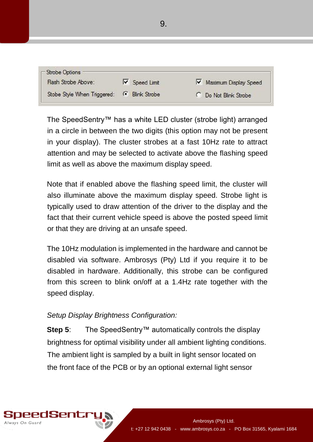| - Strobe Options            |                       |                       |
|-----------------------------|-----------------------|-----------------------|
| Flash Strobe Above:         | $\nabla$ Speed Limit  | Maximum Display Speed |
| Stobe Style When Triggered: | <b>6</b> Blink Strobe | C Do Not Blink Strobe |

The SpeedSentry™ has a white LED cluster (strobe light) arranged in a circle in between the two digits (this option may not be present in your display). The cluster strobes at a fast 10Hz rate to attract attention and may be selected to activate above the flashing speed limit as well as above the maximum display speed.

Note that if enabled above the flashing speed limit, the cluster will also illuminate above the maximum display speed. Strobe light is typically used to draw attention of the driver to the display and the fact that their current vehicle speed is above the posted speed limit or that they are driving at an unsafe speed.

The 10Hz modulation is implemented in the hardware and cannot be disabled via software. Ambrosys (Pty) Ltd if you require it to be disabled in hardware. Additionally, this strobe can be configured from this screen to blink on/off at a 1.4Hz rate together with the speed display.

#### *Setup Display Brightness Configuration:*

**Step 5**: The SpeedSentry™ automatically controls the display brightness for optimal visibility under all ambient lighting conditions. The ambient light is sampled by a built in light sensor located on the front face of the PCB or by an optional external light sensor

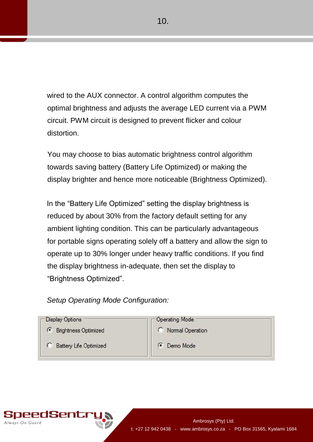wired to the AUX connector. A control algorithm computes the optimal brightness and adjusts the average LED current via a PWM circuit. PWM circuit is designed to prevent flicker and colour distortion.

You may choose to bias automatic brightness control algorithm towards saving battery (Battery Life Optimized) or making the display brighter and hence more noticeable (Brightness Optimized).

In the "Battery Life Optimized" setting the display brightness is reduced by about 30% from the factory default setting for any ambient lighting condition. This can be particularly advantageous for portable signs operating solely off a battery and allow the sign to operate up to 30% longer under heavy traffic conditions. If you find the display brightness in-adequate, then set the display to "Brightness Optimized".

#### *Setup Operating Mode Configuration:*



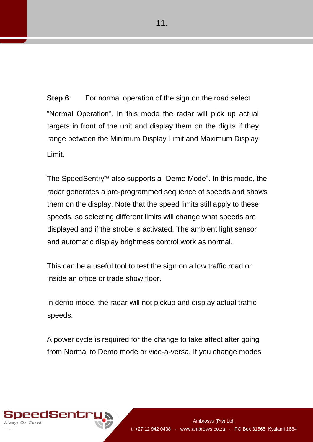**Step 6:** For normal operation of the sign on the road select "Normal Operation". In this mode the radar will pick up actual targets in front of the unit and display them on the digits if they range between the Minimum Display Limit and Maximum Display Limit.

The SpeedSentry™ also supports a "Demo Mode". In this mode, the radar generates a pre-programmed sequence of speeds and shows them on the display. Note that the speed limits still apply to these speeds, so selecting different limits will change what speeds are displayed and if the strobe is activated. The ambient light sensor and automatic display brightness control work as normal.

This can be a useful tool to test the sign on a low traffic road or inside an office or trade show floor.

In demo mode, the radar will not pickup and display actual traffic speeds.

A power cycle is required for the change to take affect after going from Normal to Demo mode or vice-a-versa. If you change modes

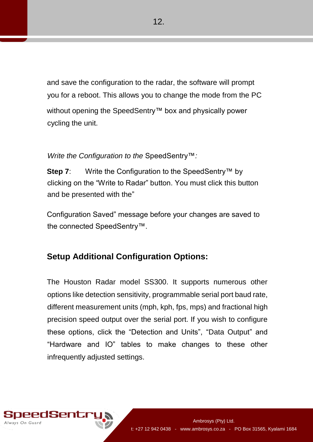and save the configuration to the radar, the software will prompt you for a reboot. This allows you to change the mode from the PC without opening the SpeedSentry™ box and physically power cycling the unit.

#### *Write the Configuration to the* SpeedSentry™*:*

**Step 7:** Write the Configuration to the SpeedSentry™ by clicking on the "Write to Radar" button. You must click this button and be presented with the"

Configuration Saved" message before your changes are saved to the connected SpeedSentry™.

#### **Setup Additional Configuration Options:**

The Houston Radar model SS300. It supports numerous other options like detection sensitivity, programmable serial port baud rate, different measurement units (mph, kph, fps, mps) and fractional high precision speed output over the serial port. If you wish to configure these options, click the "Detection and Units", "Data Output" and "Hardware and IO" tables to make changes to these other infrequently adjusted settings.

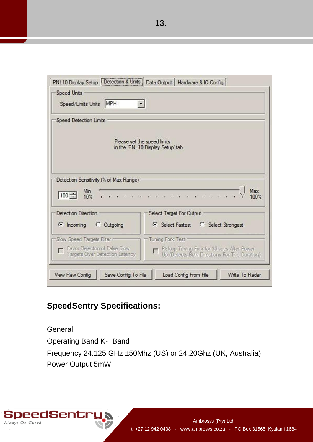PNL10 Display Setup | Detection & Units | Data Output | Hardware & IO Config | **Speed Units** Speed/Limits Units MPH  $\blacksquare$ **Speed Detection Limits** Please set the speed limits in the 'PNL10 Display Setup' tab Detection Sensitivity (% of Max Range) Max Min  $100 10%$ 100% **Detection Direction** Select Target For Output  $\binom{2}{3}$  incoming C Outgoing G Select Fastest C Select Strongest Slow Speed Targets Filter Tuning Fork Test Favor Rejecton of False Slow Pickup Tuning Fork for 30 secs After Power  $\Gamma$  $\Box$ Up (Detects Both Directions For This Duration) Targets Over Detection Latency **View Raw Config** Save Config To File Load Config From File Write To Radar

## **SpeedSentry Specifications:**

Always On Guard

**General** Operating Band K---Band Frequency 24.125 GHz ±50Mhz (US) or 24.20Ghz (UK, Australia) Power Output 5mW

t: +27 12 942 0438 - www.ambrosys.co.za - PO Box 31565, Kyalami 1684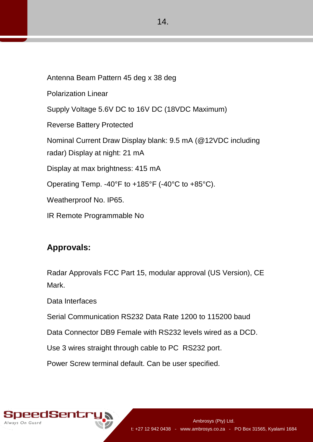Antenna Beam Pattern 45 deg x 38 deg Polarization Linear Supply Voltage 5.6V DC to 16V DC (18VDC Maximum) Reverse Battery Protected Nominal Current Draw Display blank: 9.5 mA (@12VDC including radar) Display at night: 21 mA Display at max brightness: 415 mA Operating Temp. -40°F to +185°F (-40°C to +85°C). Weatherproof No. IP65. IR Remote Programmable No

#### **Approvals:**

Radar Approvals FCC Part 15, modular approval (US Version), CE Mark.

Data Interfaces

Serial Communication RS232 Data Rate 1200 to 115200 baud

Data Connector DB9 Female with RS232 levels wired as a DCD.

Use 3 wires straight through cable to PC RS232 port.

Power Screw terminal default. Can be user specified.

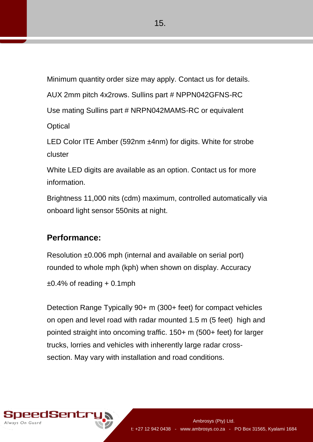Minimum quantity order size may apply. Contact us for details.

AUX 2mm pitch 4x2rows. Sullins part # NPPN042GFNS-RC

Use mating Sullins part # NRPN042MAMS-RC or equivalent

**Optical** 

LED Color ITE Amber (592nm ±4nm) for digits. White for strobe cluster

White LED digits are available as an option. Contact us for more information.

Brightness 11,000 nits (cdm) maximum, controlled automatically via onboard light sensor 550nits at night.

## **Performance:**

Resolution ±0.006 mph (internal and available on serial port) rounded to whole mph (kph) when shown on display. Accuracy

 $\pm 0.4\%$  of reading  $+0.1$ mph

Detection Range Typically 90+ m (300+ feet) for compact vehicles on open and level road with radar mounted 1.5 m (5 feet) high and pointed straight into oncoming traffic. 150+ m (500+ feet) for larger trucks, lorries and vehicles with inherently large radar crosssection. May vary with installation and road conditions.